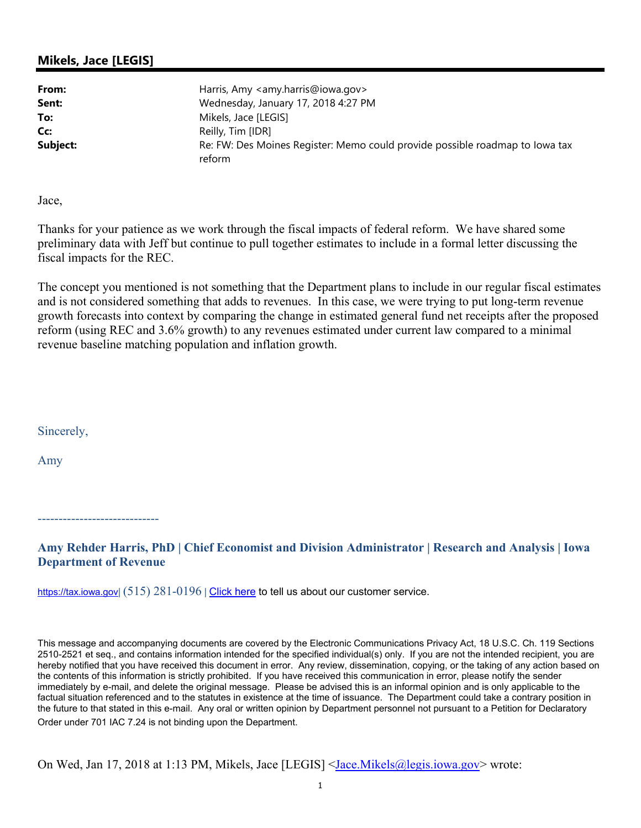## **Mikels, Jace [LEGIS]**

| From:    | Harris, Amy <amy.harris@iowa.gov></amy.harris@iowa.gov>                                |
|----------|----------------------------------------------------------------------------------------|
| Sent:    | Wednesday, January 17, 2018 4:27 PM                                                    |
| To:      | Mikels, Jace [LEGIS]                                                                   |
| Cc:      | Reilly, Tim [IDR]                                                                      |
| Subject: | Re: FW: Des Moines Register: Memo could provide possible roadmap to lowa tax<br>reform |

Jace,

Thanks for your patience as we work through the fiscal impacts of federal reform. We have shared some preliminary data with Jeff but continue to pull together estimates to include in a formal letter discussing the fiscal impacts for the REC.

The concept you mentioned is not something that the Department plans to include in our regular fiscal estimates and is not considered something that adds to revenues. In this case, we were trying to put long-term revenue growth forecasts into context by comparing the change in estimated general fund net receipts after the proposed reform (using REC and 3.6% growth) to any revenues estimated under current law compared to a minimal revenue baseline matching population and inflation growth.

Sincerely,

Amy

-----------------------------

**Amy Rehder Harris, PhD | Chief Economist and Division Administrator | Research and Analysis | Iowa Department of Revenue** 

https://tax.iowa.gov**|** (515) 281-0196 **|** Click here to tell us about our customer service.

This message and accompanying documents are covered by the Electronic Communications Privacy Act, 18 U.S.C. Ch. 119 Sections 2510-2521 et seq., and contains information intended for the specified individual(s) only. If you are not the intended recipient, you are hereby notified that you have received this document in error. Any review, dissemination, copying, or the taking of any action based on the contents of this information is strictly prohibited. If you have received this communication in error, please notify the sender immediately by e-mail, and delete the original message. Please be advised this is an informal opinion and is only applicable to the factual situation referenced and to the statutes in existence at the time of issuance. The Department could take a contrary position in the future to that stated in this e-mail. Any oral or written opinion by Department personnel not pursuant to a Petition for Declaratory Order under 701 IAC 7.24 is not binding upon the Department.

On Wed, Jan 17, 2018 at 1:13 PM, Mikels, Jace [LEGIS] <Jace.Mikels@legis.iowa.gov> wrote: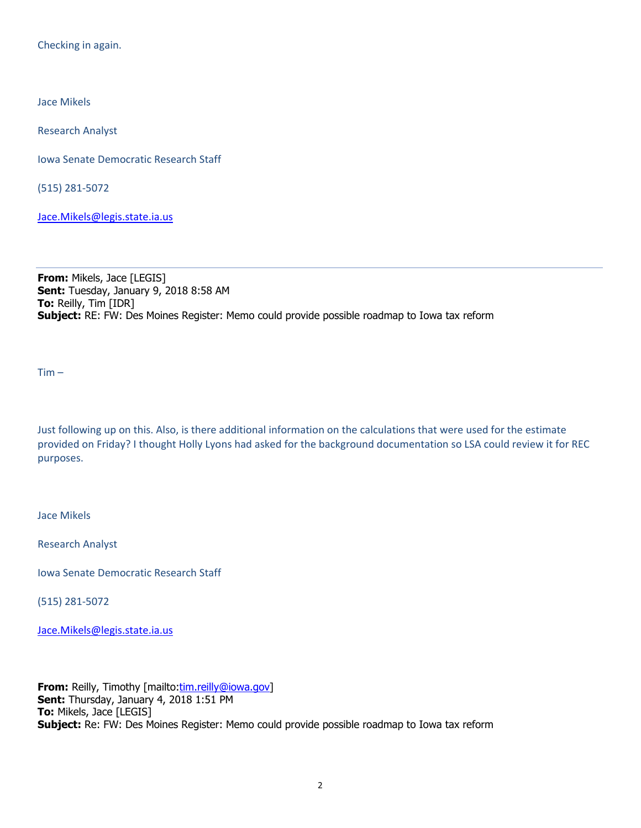Checking in again.

Jace Mikels

Research Analyst

Iowa Senate Democratic Research Staff

(515) 281‐5072

Jace.Mikels@legis.state.ia.us

**From:** Mikels, Jace [LEGIS] **Sent:** Tuesday, January 9, 2018 8:58 AM **To:** Reilly, Tim [IDR] **Subject:** RE: FW: Des Moines Register: Memo could provide possible roadmap to Iowa tax reform

 $Tim -$ 

Just following up on this. Also, is there additional information on the calculations that were used for the estimate provided on Friday? I thought Holly Lyons had asked for the background documentation so LSA could review it for REC purposes.

Jace Mikels

Research Analyst

Iowa Senate Democratic Research Staff

(515) 281‐5072

Jace.Mikels@legis.state.ia.us

**From:** Reilly, Timothy [mailto:tim.reilly@iowa.gov] **Sent:** Thursday, January 4, 2018 1:51 PM **To:** Mikels, Jace [LEGIS] **Subject:** Re: FW: Des Moines Register: Memo could provide possible roadmap to Iowa tax reform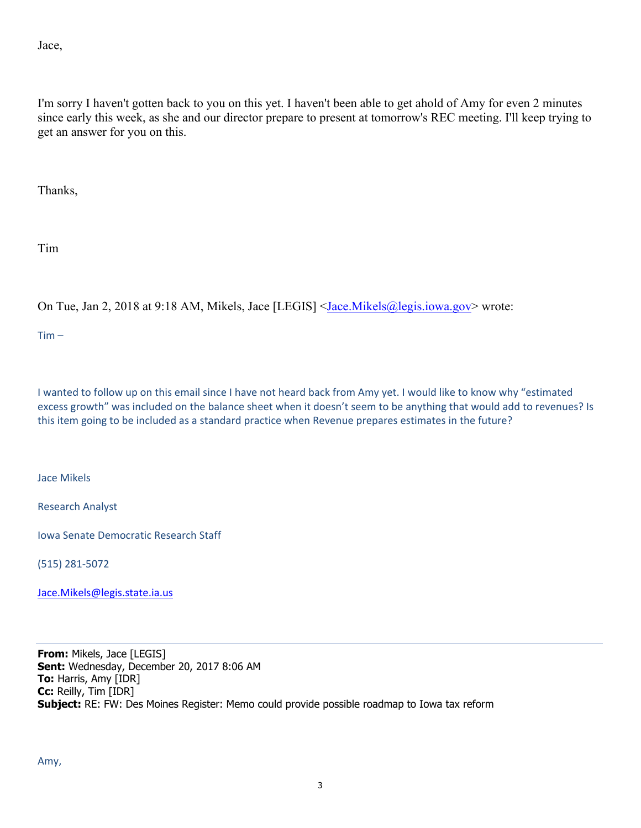Jace,

I'm sorry I haven't gotten back to you on this yet. I haven't been able to get ahold of Amy for even 2 minutes since early this week, as she and our director prepare to present at tomorrow's REC meeting. I'll keep trying to get an answer for you on this.

Thanks,

Tim

On Tue, Jan 2, 2018 at 9:18 AM, Mikels, Jace [LEGIS] <Jace.Mikels@legis.iowa.gov> wrote:

 $Tim -$ 

I wanted to follow up on this email since I have not heard back from Amy yet. I would like to know why "estimated excess growth" was included on the balance sheet when it doesn't seem to be anything that would add to revenues? Is this item going to be included as a standard practice when Revenue prepares estimates in the future?

Jace Mikels

Research Analyst

Iowa Senate Democratic Research Staff

(515) 281‐5072

Jace.Mikels@legis.state.ia.us

**From:** Mikels, Jace [LEGIS] **Sent:** Wednesday, December 20, 2017 8:06 AM **To:** Harris, Amy [IDR] **Cc:** Reilly, Tim [IDR] **Subject:** RE: FW: Des Moines Register: Memo could provide possible roadmap to Iowa tax reform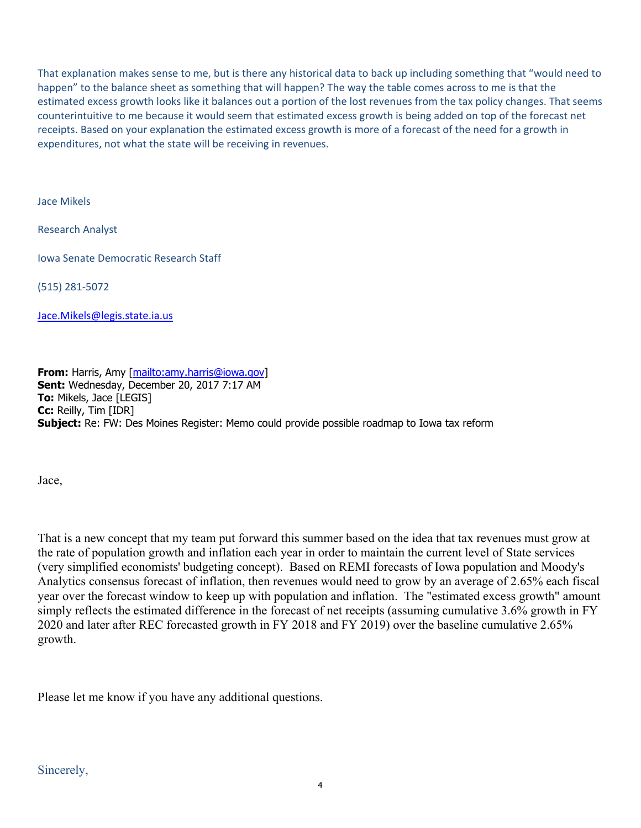That explanation makes sense to me, but is there any historical data to back up including something that "would need to happen" to the balance sheet as something that will happen? The way the table comes across to me is that the estimated excess growth looks like it balances out a portion of the lost revenues from the tax policy changes. That seems counterintuitive to me because it would seem that estimated excess growth is being added on top of the forecast net receipts. Based on your explanation the estimated excess growth is more of a forecast of the need for a growth in expenditures, not what the state will be receiving in revenues.

Jace Mikels

Research Analyst

Iowa Senate Democratic Research Staff

(515) 281‐5072

Jace.Mikels@legis.state.ia.us

**From:** Harris, Amy [mailto:amy.harris@iowa.gov] **Sent:** Wednesday, December 20, 2017 7:17 AM **To:** Mikels, Jace [LEGIS] **Cc:** Reilly, Tim [IDR] **Subject:** Re: FW: Des Moines Register: Memo could provide possible roadmap to Iowa tax reform

Jace,

That is a new concept that my team put forward this summer based on the idea that tax revenues must grow at the rate of population growth and inflation each year in order to maintain the current level of State services (very simplified economists' budgeting concept). Based on REMI forecasts of Iowa population and Moody's Analytics consensus forecast of inflation, then revenues would need to grow by an average of 2.65% each fiscal year over the forecast window to keep up with population and inflation. The "estimated excess growth" amount simply reflects the estimated difference in the forecast of net receipts (assuming cumulative 3.6% growth in FY 2020 and later after REC forecasted growth in FY 2018 and FY 2019) over the baseline cumulative 2.65% growth.

Please let me know if you have any additional questions.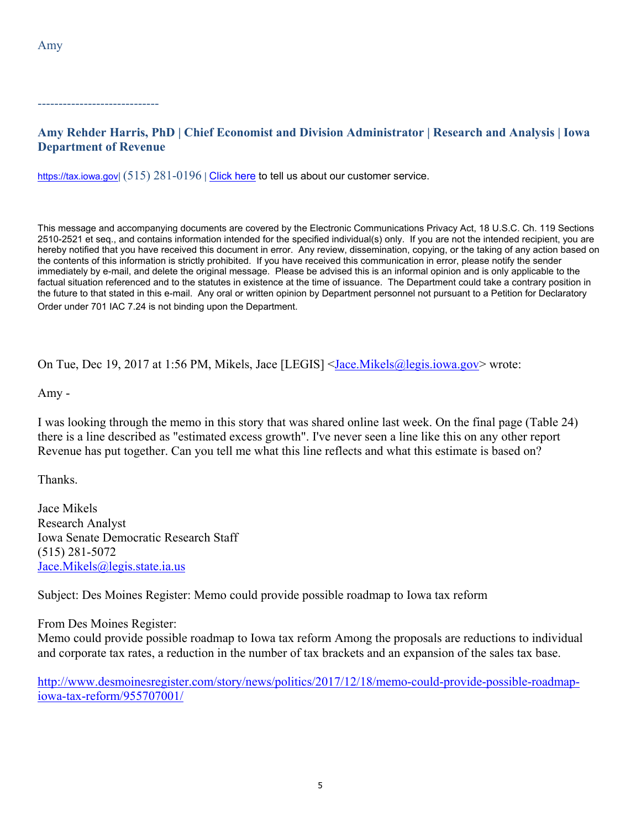-----------------------------

## **Amy Rehder Harris, PhD | Chief Economist and Division Administrator | Research and Analysis | Iowa Department of Revenue**

https://tax.iowa.gov**|** (515) 281-0196 **|** Click here to tell us about our customer service.

This message and accompanying documents are covered by the Electronic Communications Privacy Act, 18 U.S.C. Ch. 119 Sections 2510-2521 et seq., and contains information intended for the specified individual(s) only. If you are not the intended recipient, you are hereby notified that you have received this document in error. Any review, dissemination, copying, or the taking of any action based on the contents of this information is strictly prohibited. If you have received this communication in error, please notify the sender immediately by e-mail, and delete the original message. Please be advised this is an informal opinion and is only applicable to the factual situation referenced and to the statutes in existence at the time of issuance. The Department could take a contrary position in the future to that stated in this e-mail. Any oral or written opinion by Department personnel not pursuant to a Petition for Declaratory Order under 701 IAC 7.24 is not binding upon the Department.

On Tue, Dec 19, 2017 at 1:56 PM, Mikels, Jace [LEGIS] <Jace.Mikels@legis.iowa.gov> wrote:

Amy -

I was looking through the memo in this story that was shared online last week. On the final page (Table 24) there is a line described as "estimated excess growth". I've never seen a line like this on any other report Revenue has put together. Can you tell me what this line reflects and what this estimate is based on?

Thanks.

Jace Mikels Research Analyst Iowa Senate Democratic Research Staff (515) 281-5072 Jace.Mikels@legis.state.ia.us

Subject: Des Moines Register: Memo could provide possible roadmap to Iowa tax reform

From Des Moines Register:

Memo could provide possible roadmap to Iowa tax reform Among the proposals are reductions to individual and corporate tax rates, a reduction in the number of tax brackets and an expansion of the sales tax base.

http://www.desmoinesregister.com/story/news/politics/2017/12/18/memo-could-provide-possible-roadmapiowa-tax-reform/955707001/